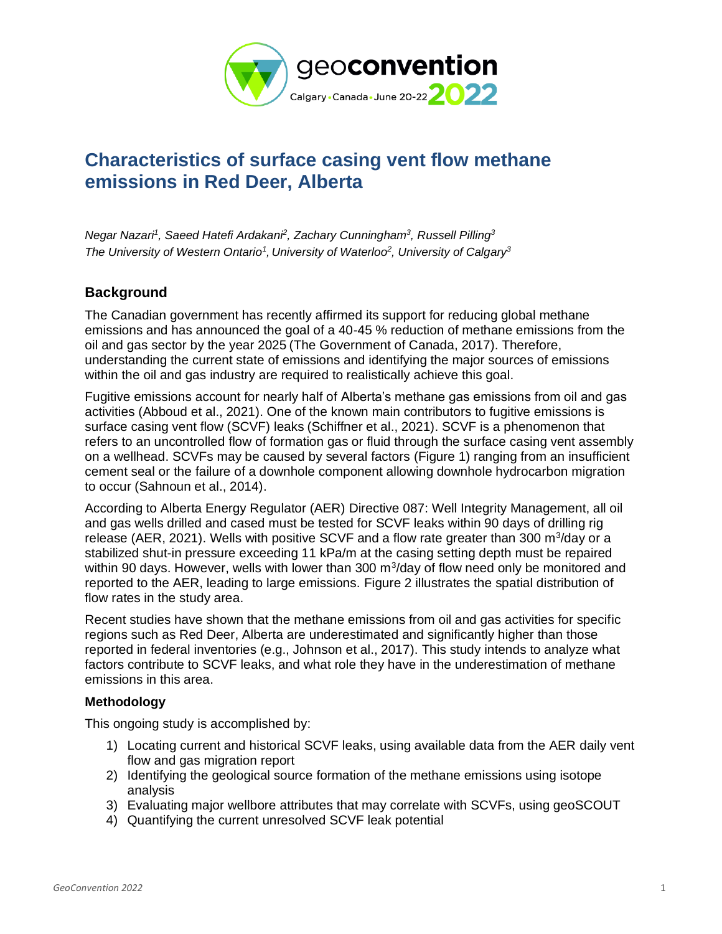

# **Characteristics of surface casing vent flow methane emissions in Red Deer, Alberta**

*Negar Nazari<sup>1</sup> , Saeed Hatefi Ardakani<sup>2</sup> , Zachary Cunningham<sup>3</sup> , Russell Pilling<sup>3</sup> The University of Western Ontario 1 , University of Waterloo<sup>2</sup> , University of Calgary<sup>3</sup>*

## **Background**

The Canadian government has recently affirmed its support for reducing global methane emissions and has announced the goal of a 40-45 % reduction of methane emissions from the oil and gas sector by the year 2025 (The Government of Canada, 2017). Therefore, understanding the current state of emissions and identifying the major sources of emissions within the oil and gas industry are required to realistically achieve this goal.

Fugitive emissions account for nearly half of Alberta's methane gas emissions from oil and gas activities (Abboud et al., 2021). One of the known main contributors to fugitive emissions is surface casing vent flow (SCVF) leaks (Schiffner et al., 2021). SCVF is a phenomenon that refers to an uncontrolled flow of formation gas or fluid through the surface casing vent assembly on a wellhead. SCVFs may be caused by several factors (Figure 1) ranging from an insufficient cement seal or the failure of a downhole component allowing downhole hydrocarbon migration to occur (Sahnoun et al., 2014).

According to Alberta Energy Regulator (AER) Directive 087: Well Integrity Management, all oil and gas wells drilled and cased must be tested for SCVF leaks within 90 days of drilling rig release (AER, 2021). Wells with positive SCVF and a flow rate greater than 300  $m^3$ /day or a stabilized shut-in pressure exceeding 11 kPa/m at the casing setting depth must be repaired within 90 days. However, wells with lower than 300  $m<sup>3</sup>/day$  of flow need only be monitored and reported to the AER, leading to large emissions. Figure 2 illustrates the spatial distribution of flow rates in the study area.

Recent studies have shown that the methane emissions from oil and gas activities for specific regions such as Red Deer, Alberta are underestimated and significantly higher than those reported in federal inventories (e.g., Johnson et al., 2017). This study intends to analyze what factors contribute to SCVF leaks, and what role they have in the underestimation of methane emissions in this area.

#### **Methodology**

This ongoing study is accomplished by:

- 1) Locating current and historical SCVF leaks, using available data from the AER daily vent flow and gas migration report
- 2) Identifying the geological source formation of the methane emissions using isotope analysis
- 3) Evaluating major wellbore attributes that may correlate with SCVFs, using geoSCOUT
- 4) Quantifying the current unresolved SCVF leak potential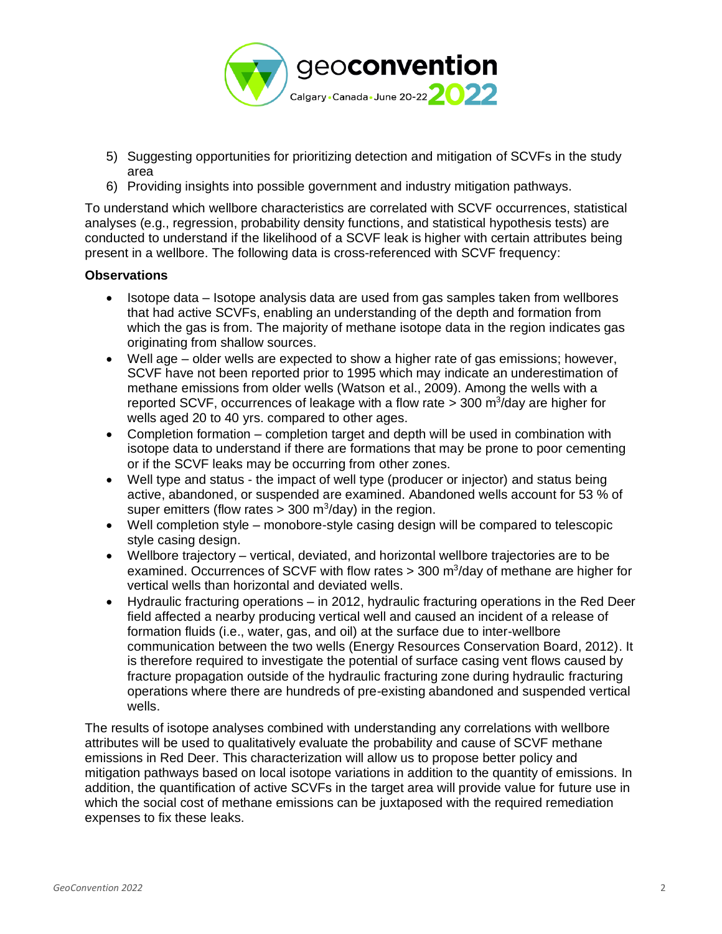

- 5) Suggesting opportunities for prioritizing detection and mitigation of SCVFs in the study area
- 6) Providing insights into possible government and industry mitigation pathways.

To understand which wellbore characteristics are correlated with SCVF occurrences, statistical analyses (e.g., regression, probability density functions, and statistical hypothesis tests) are conducted to understand if the likelihood of a SCVF leak is higher with certain attributes being present in a wellbore. The following data is cross-referenced with SCVF frequency:

#### **Observations**

- Isotope data Isotope analysis data are used from gas samples taken from wellbores that had active SCVFs, enabling an understanding of the depth and formation from which the gas is from. The majority of methane isotope data in the region indicates gas originating from shallow sources.
- Well age older wells are expected to show a higher rate of gas emissions; however, SCVF have not been reported prior to 1995 which may indicate an underestimation of methane emissions from older wells (Watson et al., 2009). Among the wells with a reported SCVF, occurrences of leakage with a flow rate  $>$  300 m<sup>3</sup>/day are higher for wells aged 20 to 40 yrs. compared to other ages.
- Completion formation completion target and depth will be used in combination with isotope data to understand if there are formations that may be prone to poor cementing or if the SCVF leaks may be occurring from other zones.
- Well type and status the impact of well type (producer or injector) and status being active, abandoned, or suspended are examined. Abandoned wells account for 53 % of super emitters (flow rates  $>$  300 m<sup>3</sup>/day) in the region.
- Well completion style monobore-style casing design will be compared to telescopic style casing design.
- Wellbore trajectory vertical, deviated, and horizontal wellbore trajectories are to be examined. Occurrences of SCVF with flow rates  $>$  300 m<sup>3</sup>/day of methane are higher for vertical wells than horizontal and deviated wells.
- Hydraulic fracturing operations in 2012, hydraulic fracturing operations in the Red Deer field affected a nearby producing vertical well and caused an incident of a release of formation fluids (i.e., water, gas, and oil) at the surface due to inter-wellbore communication between the two wells (Energy Resources Conservation Board, 2012). It is therefore required to investigate the potential of surface casing vent flows caused by fracture propagation outside of the hydraulic fracturing zone during hydraulic fracturing operations where there are hundreds of pre-existing abandoned and suspended vertical wells.

The results of isotope analyses combined with understanding any correlations with wellbore attributes will be used to qualitatively evaluate the probability and cause of SCVF methane emissions in Red Deer. This characterization will allow us to propose better policy and mitigation pathways based on local isotope variations in addition to the quantity of emissions. In addition, the quantification of active SCVFs in the target area will provide value for future use in which the social cost of methane emissions can be juxtaposed with the required remediation expenses to fix these leaks.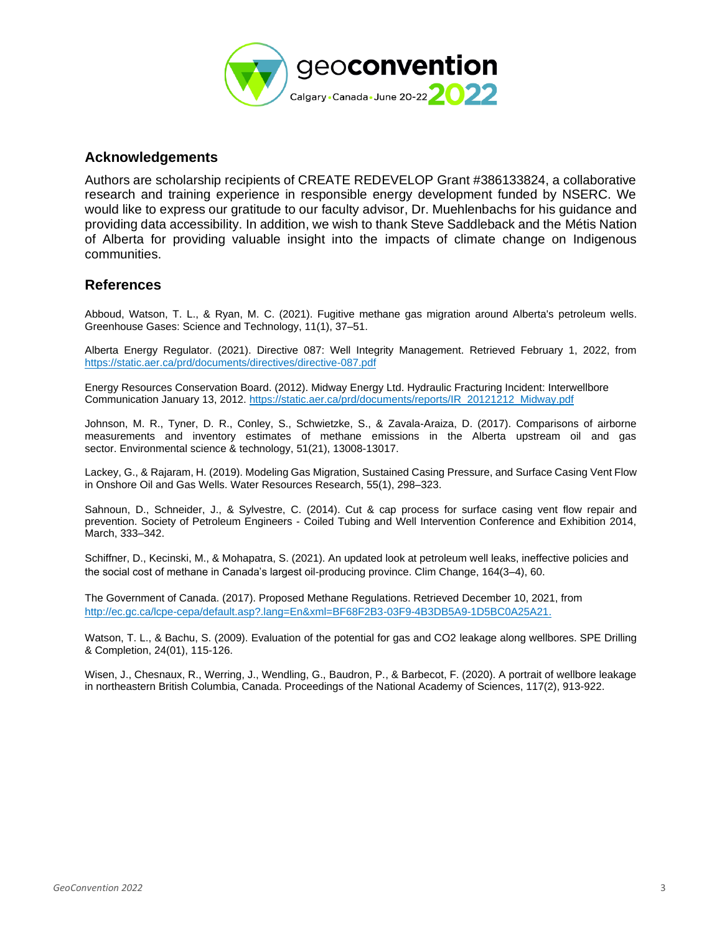

#### **Acknowledgements**

Authors are scholarship recipients of CREATE REDEVELOP Grant #386133824, a collaborative research and training experience in responsible energy development funded by NSERC. We would like to express our gratitude to our faculty advisor, Dr. Muehlenbachs for his guidance and providing data accessibility. In addition, we wish to thank Steve Saddleback and the Métis Nation of Alberta for providing valuable insight into the impacts of climate change on Indigenous communities.

### **References**

Abboud, Watson, T. L., & Ryan, M. C. (2021). Fugitive methane gas migration around Alberta's petroleum wells. Greenhouse Gases: Science and Technology, 11(1), 37–51.

Alberta Energy Regulator. (2021). Directive 087: Well Integrity Management. Retrieved February 1, 2022, from <https://static.aer.ca/prd/documents/directives/directive-087.pdf>

Energy Resources Conservation Board. (2012). Midway Energy Ltd. Hydraulic Fracturing Incident: Interwellbore Communication January 13, 2012[. https://static.aer.ca/prd/documents/reports/IR\\_20121212\\_Midway.pdf](https://static.aer.ca/prd/documents/reports/IR_20121212_Midway.pdf)

Johnson, M. R., Tyner, D. R., Conley, S., Schwietzke, S., & Zavala-Araiza, D. (2017). Comparisons of airborne measurements and inventory estimates of methane emissions in the Alberta upstream oil and gas sector. Environmental science & technology, 51(21), 13008-13017.

Lackey, G., & Rajaram, H. (2019). Modeling Gas Migration, Sustained Casing Pressure, and Surface Casing Vent Flow in Onshore Oil and Gas Wells. Water Resources Research, 55(1), 298–323.

Sahnoun, D., Schneider, J., & Sylvestre, C. (2014). Cut & cap process for surface casing vent flow repair and prevention. Society of Petroleum Engineers - Coiled Tubing and Well Intervention Conference and Exhibition 2014, March, 333–342.

Schiffner, D., Kecinski, M., & Mohapatra, S. (2021). An updated look at petroleum well leaks, ineffective policies and the social cost of methane in Canada's largest oil-producing province. Clim Change, 164(3–4), 60.

The Government of Canada. (2017). Proposed Methane Regulations. Retrieved December 10, 2021, from [http://ec.gc.ca/lcpe-cepa/default.asp?.lang=En&xml=BF68F2B3-03F9-4B3DB5A9-1D5BC0A25A21.](http://ec.gc.ca/lcpe-cepa/default.asp?.lang=En&xml=BF68F2B3-03F9-4B3DB5A9-1D5BC0A25A21)

Watson, T. L., & Bachu, S. (2009). Evaluation of the potential for gas and CO2 leakage along wellbores. SPE Drilling & Completion, 24(01), 115-126.

Wisen, J., Chesnaux, R., Werring, J., Wendling, G., Baudron, P., & Barbecot, F. (2020). A portrait of wellbore leakage in northeastern British Columbia, Canada. Proceedings of the National Academy of Sciences, 117(2), 913-922.